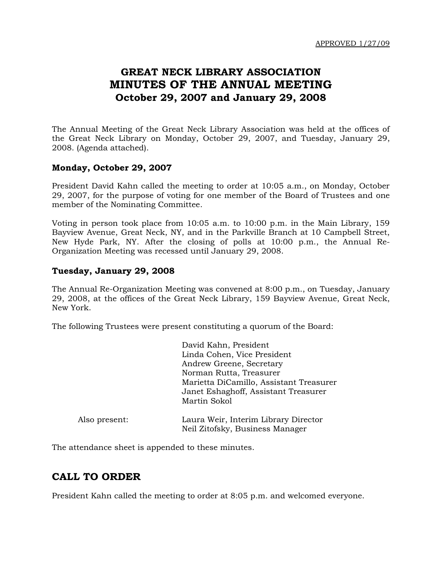# **GREAT NECK LIBRARY ASSOCIATION MINUTES OF THE ANNUAL MEETING October 29, 2007 and January 29, 2008**

The Annual Meeting of the Great Neck Library Association was held at the offices of the Great Neck Library on Monday, October 29, 2007, and Tuesday, January 29, 2008. (Agenda attached).

#### **Monday, October 29, 2007**

President David Kahn called the meeting to order at 10:05 a.m., on Monday, October 29, 2007, for the purpose of voting for one member of the Board of Trustees and one member of the Nominating Committee.

Voting in person took place from 10:05 a.m. to 10:00 p.m. in the Main Library, 159 Bayview Avenue, Great Neck, NY, and in the Parkville Branch at 10 Campbell Street, New Hyde Park, NY. After the closing of polls at 10:00 p.m., the Annual Re-Organization Meeting was recessed until January 29, 2008.

#### **Tuesday, January 29, 2008**

The Annual Re-Organization Meeting was convened at 8:00 p.m., on Tuesday, January 29, 2008, at the offices of the Great Neck Library, 159 Bayview Avenue, Great Neck, New York.

The following Trustees were present constituting a quorum of the Board:

|               | David Kahn, President                   |
|---------------|-----------------------------------------|
|               | Linda Cohen, Vice President             |
|               | Andrew Greene, Secretary                |
|               | Norman Rutta, Treasurer                 |
|               | Marietta DiCamillo, Assistant Treasurer |
|               | Janet Eshaghoff, Assistant Treasurer    |
|               | Martin Sokol                            |
| Also present: | Laura Weir, Interim Library Director    |
|               | Neil Zitofsky, Business Manager         |

The attendance sheet is appended to these minutes.

### **CALL TO ORDER**

President Kahn called the meeting to order at 8:05 p.m. and welcomed everyone.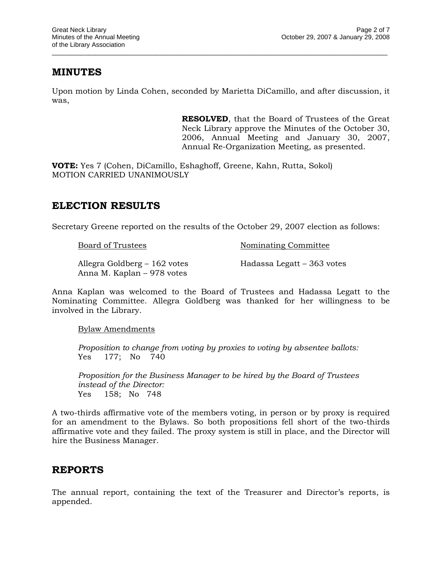## **MINUTES**

Upon motion by Linda Cohen, seconded by Marietta DiCamillo, and after discussion, it was,

 $\overline{a}$  , and the state of the state of the state of the state of the state of the state of the state of the state of the state of the state of the state of the state of the state of the state of the state of the state o

**RESOLVED**, that the Board of Trustees of the Great Neck Library approve the Minutes of the October 30, 2006, Annual Meeting and January 30, 2007, Annual Re-Organization Meeting, as presented.

**VOTE:** Yes 7 (Cohen, DiCamillo, Eshaghoff, Greene, Kahn, Rutta, Sokol) MOTION CARRIED UNANIMOUSLY

## **ELECTION RESULTS**

Secretary Greene reported on the results of the October 29, 2007 election as follows:

| Board of Trustees                                          | Nominating Committee       |
|------------------------------------------------------------|----------------------------|
| Allegra Goldberg – 162 votes<br>Anna M. Kaplan – 978 votes | Hadassa Legatt – 363 votes |

Anna Kaplan was welcomed to the Board of Trustees and Hadassa Legatt to the Nominating Committee. Allegra Goldberg was thanked for her willingness to be involved in the Library.

Bylaw Amendments

*Proposition to change from voting by proxies to voting by absentee ballots:* Yes 177; No 740

*Proposition for the Business Manager to be hired by the Board of Trustees instead of the Director:*  Yes 158; No 748

A two-thirds affirmative vote of the members voting, in person or by proxy is required for an amendment to the Bylaws. So both propositions fell short of the two-thirds affirmative vote and they failed. The proxy system is still in place, and the Director will hire the Business Manager.

### **REPORTS**

The annual report, containing the text of the Treasurer and Director's reports, is appended.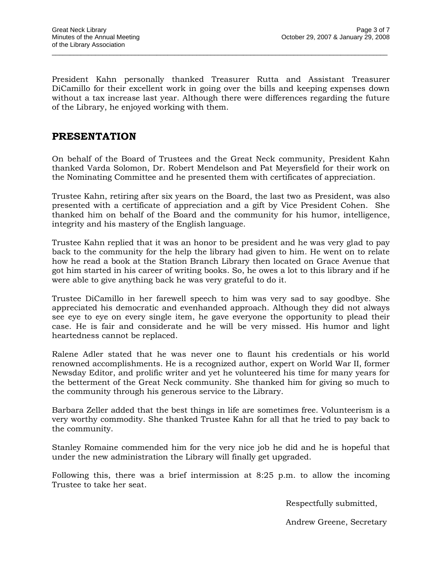President Kahn personally thanked Treasurer Rutta and Assistant Treasurer DiCamillo for their excellent work in going over the bills and keeping expenses down without a tax increase last year. Although there were differences regarding the future of the Library, he enjoyed working with them.

 $\overline{a}$  , and the state of the state of the state of the state of the state of the state of the state of the state of the state of the state of the state of the state of the state of the state of the state of the state o

### **PRESENTATION**

On behalf of the Board of Trustees and the Great Neck community, President Kahn thanked Varda Solomon, Dr. Robert Mendelson and Pat Meyersfield for their work on the Nominating Committee and he presented them with certificates of appreciation.

Trustee Kahn, retiring after six years on the Board, the last two as President, was also presented with a certificate of appreciation and a gift by Vice President Cohen. She thanked him on behalf of the Board and the community for his humor, intelligence, integrity and his mastery of the English language.

Trustee Kahn replied that it was an honor to be president and he was very glad to pay back to the community for the help the library had given to him. He went on to relate how he read a book at the Station Branch Library then located on Grace Avenue that got him started in his career of writing books. So, he owes a lot to this library and if he were able to give anything back he was very grateful to do it.

Trustee DiCamillo in her farewell speech to him was very sad to say goodbye. She appreciated his democratic and evenhanded approach. Although they did not always see eye to eye on every single item, he gave everyone the opportunity to plead their case. He is fair and considerate and he will be very missed. His humor and light heartedness cannot be replaced.

Ralene Adler stated that he was never one to flaunt his credentials or his world renowned accomplishments. He is a recognized author, expert on World War II, former Newsday Editor, and prolific writer and yet he volunteered his time for many years for the betterment of the Great Neck community. She thanked him for giving so much to the community through his generous service to the Library.

Barbara Zeller added that the best things in life are sometimes free. Volunteerism is a very worthy commodity. She thanked Trustee Kahn for all that he tried to pay back to the community.

Stanley Romaine commended him for the very nice job he did and he is hopeful that under the new administration the Library will finally get upgraded.

Following this, there was a brief intermission at 8:25 p.m. to allow the incoming Trustee to take her seat.

Respectfully submitted,

Andrew Greene, Secretary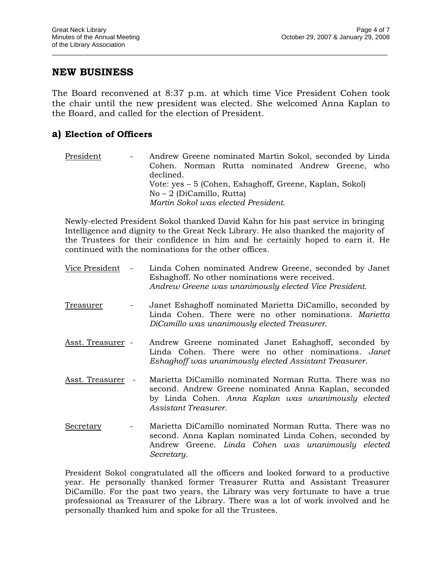## **NEW BUSINESS**

The Board reconvened at 8:37 p.m. at which time Vice President Cohen took the chair until the new president was elected. She welcomed Anna Kaplan to the Board, and called for the election of President.

 $\overline{a}$  , and the state of the state of the state of the state of the state of the state of the state of the state of the state of the state of the state of the state of the state of the state of the state of the state o

### **a) Election of Officers**

President - Andrew Greene nominated Martin Sokol, seconded by Linda Cohen. Norman Rutta nominated Andrew Greene, who declined. Vote: yes – 5 (Cohen, Eshaghoff, Greene, Kaplan, Sokol) No – 2 (DiCamillo, Rutta) *Martin Sokol was elected President.*

Newly-elected President Sokol thanked David Kahn for his past service in bringing Intelligence and dignity to the Great Neck Library. He also thanked the majority of the Trustees for their confidence in him and he certainly hoped to earn it. He continued with the nominations for the other offices.

- Vice President Linda Cohen nominated Andrew Greene, seconded by Janet Eshaghoff. No other nominations were received. *Andrew Greene was unanimously elected Vice President.*
- Treasurer Janet Eshaghoff nominated Marietta DiCamillo, seconded by Linda Cohen. There were no other nominations. *Marietta DiCamillo was unanimously elected Treasurer.*
- Asst. Treasurer Andrew Greene nominated Janet Eshaghoff, seconded by Linda Cohen. There were no other nominations. *Janet Eshaghoff was unanimously elected Assistant Treasurer*.
- Asst. Treasurer Marietta DiCamillo nominated Norman Rutta. There was no second. Andrew Greene nominated Anna Kaplan, seconded by Linda Cohen. *Anna Kaplan was unanimously elected Assistant Treasurer.*
- Secretary Marietta DiCamillo nominated Norman Rutta. There was no second. Anna Kaplan nominated Linda Cohen, seconded by Andrew Greene. *Linda Cohen was unanimously elected Secretary.*

President Sokol congratulated all the officers and looked forward to a productive year. He personally thanked former Treasurer Rutta and Assistant Treasurer DiCamillo. For the past two years, the Library was very fortunate to have a true professional as Treasurer of the Library. There was a lot of work involved and he personally thanked him and spoke for all the Trustees.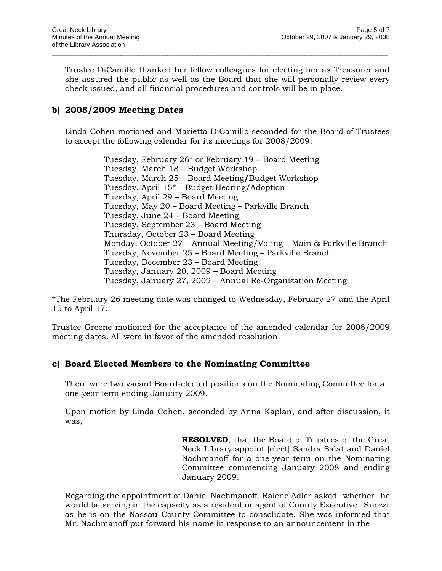Trustee DiCamillo thanked her fellow colleagues for electing her as Treasurer and she assured the public as well as the Board that she will personally review every check issued, and all financial procedures and controls will be in place.

 $\overline{a}$  , and the state of the state of the state of the state of the state of the state of the state of the state of the state of the state of the state of the state of the state of the state of the state of the state o

#### **b) 2008/2009 Meeting Dates**

Linda Cohen motioned and Marietta DiCamillo seconded for the Board of Trustees to accept the following calendar for its meetings for 2008/2009:

> Tuesday, February 26\* or February 19 – Board Meeting Tuesday, March 18 – Budget Workshop Tuesday, March 25 – Board Meeting**/**Budget Workshop Tuesday, April 15\* – Budget Hearing/Adoption Tuesday, April 29 – Board Meeting Tuesday, May 20 – Board Meeting – Parkville Branch Tuesday, June 24 – Board Meeting Tuesday, September 23 – Board Meeting Thursday, October 23 – Board Meeting Monday, October 27 – Annual Meeting/Voting – Main & Parkville Branch Tuesday, November 25 – Board Meeting – Parkville Branch Tuesday, December 23 – Board Meeting Tuesday, January 20, 2009 – Board Meeting Tuesday, January 27, 2009 – Annual Re-Organization Meeting

\*The February 26 meeting date was changed to Wednesday, February 27 and the April 15 to April 17.

Trustee Greene motioned for the acceptance of the amended calendar for 2008/2009 meeting dates. All were in favor of the amended resolution.

#### **c) Board Elected Members to the Nominating Committee**

There were two vacant Board-elected positions on the Nominating Committee for a one-year term ending January 2009.

Upon motion by Linda Cohen, seconded by Anna Kaplan, and after discussion, it was,

> **RESOLVED**, that the Board of Trustees of the Great Neck Library appoint [elect] Sandra Salat and Daniel Nachmanoff for a one-year term on the Nominating Committee commencing January 2008 and ending January 2009.

Regarding the appointment of Daniel Nachmanoff, Ralene Adler asked whether he would be serving in the capacity as a resident or agent of County Executive Suozzi as he is on the Nassau County Committee to consolidate. She was informed that Mr. Nachmanoff put forward his name in response to an announcement in the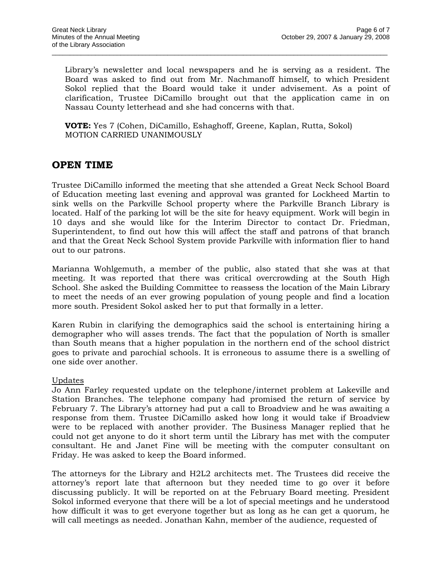Library's newsletter and local newspapers and he is serving as a resident. The Board was asked to find out from Mr. Nachmanoff himself, to which President Sokol replied that the Board would take it under advisement. As a point of clarification, Trustee DiCamillo brought out that the application came in on Nassau County letterhead and she had concerns with that.

 $\overline{a}$  , and the state of the state of the state of the state of the state of the state of the state of the state of the state of the state of the state of the state of the state of the state of the state of the state o

**VOTE:** Yes 7 (Cohen, DiCamillo, Eshaghoff, Greene, Kaplan, Rutta, Sokol) MOTION CARRIED UNANIMOUSLY

## **OPEN TIME**

Trustee DiCamillo informed the meeting that she attended a Great Neck School Board of Education meeting last evening and approval was granted for Lockheed Martin to sink wells on the Parkville School property where the Parkville Branch Library is located. Half of the parking lot will be the site for heavy equipment. Work will begin in 10 days and she would like for the Interim Director to contact Dr. Friedman, Superintendent, to find out how this will affect the staff and patrons of that branch and that the Great Neck School System provide Parkville with information flier to hand out to our patrons.

Marianna Wohlgemuth, a member of the public, also stated that she was at that meeting. It was reported that there was critical overcrowding at the South High School. She asked the Building Committee to reassess the location of the Main Library to meet the needs of an ever growing population of young people and find a location more south. President Sokol asked her to put that formally in a letter.

Karen Rubin in clarifying the demographics said the school is entertaining hiring a demographer who will asses trends. The fact that the population of North is smaller than South means that a higher population in the northern end of the school district goes to private and parochial schools. It is erroneous to assume there is a swelling of one side over another.

#### Updates

Jo Ann Farley requested update on the telephone/internet problem at Lakeville and Station Branches. The telephone company had promised the return of service by February 7. The Library's attorney had put a call to Broadview and he was awaiting a response from them. Trustee DiCamillo asked how long it would take if Broadview were to be replaced with another provider. The Business Manager replied that he could not get anyone to do it short term until the Library has met with the computer consultant. He and Janet Fine will be meeting with the computer consultant on Friday. He was asked to keep the Board informed.

The attorneys for the Library and H2L2 architects met. The Trustees did receive the attorney's report late that afternoon but they needed time to go over it before discussing publicly. It will be reported on at the February Board meeting. President Sokol informed everyone that there will be a lot of special meetings and he understood how difficult it was to get everyone together but as long as he can get a quorum, he will call meetings as needed. Jonathan Kahn, member of the audience, requested of